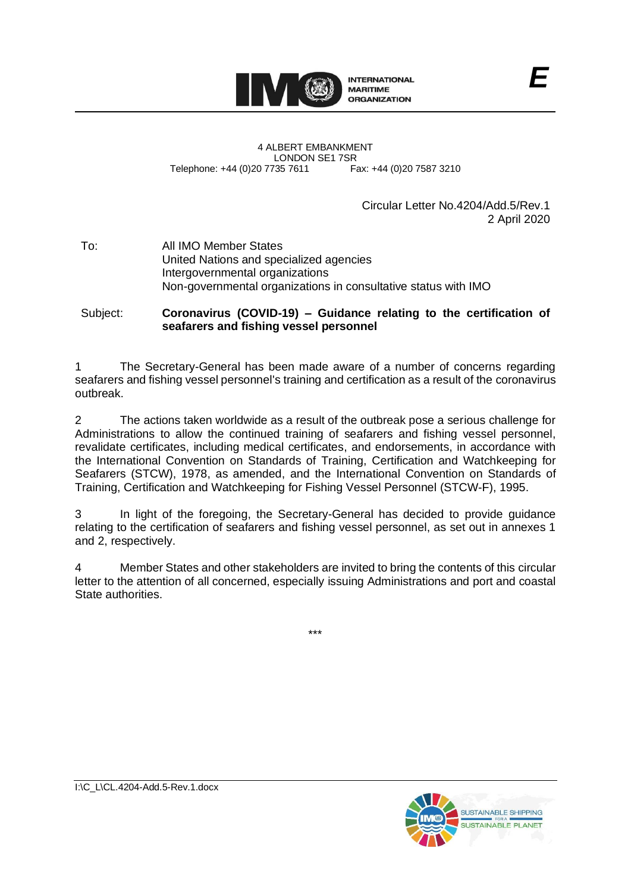

LONDON SE1 7SR<br>735 7611 Fax: +44 (0)20 7587 3210

Circular Letter No.4204/Add.5/Rev.1 2 April 2020

To: All IMO Member States United Nations and specialized agencies Intergovernmental organizations Non-governmental organizations in consultative status with IMO

### Subject: **Coronavirus (COVID-19) – Guidance relating to the certification of seafarers and fishing vessel personnel**

1 The Secretary-General has been made aware of a number of concerns regarding seafarers and fishing vessel personnel's training and certification as a result of the coronavirus outbreak.

2 The actions taken worldwide as a result of the outbreak pose a serious challenge for Administrations to allow the continued training of seafarers and fishing vessel personnel, revalidate certificates, including medical certificates, and endorsements, in accordance with the International Convention on Standards of Training, Certification and Watchkeeping for Seafarers (STCW), 1978, as amended, and the International Convention on Standards of Training, Certification and Watchkeeping for Fishing Vessel Personnel (STCW-F), 1995.

3 In light of the foregoing, the Secretary-General has decided to provide guidance relating to the certification of seafarers and fishing vessel personnel, as set out in annexes 1 and 2, respectively.

4 Member States and other stakeholders are invited to bring the contents of this circular letter to the attention of all concerned, especially issuing Administrations and port and coastal State authorities.

\*\*\*



*E*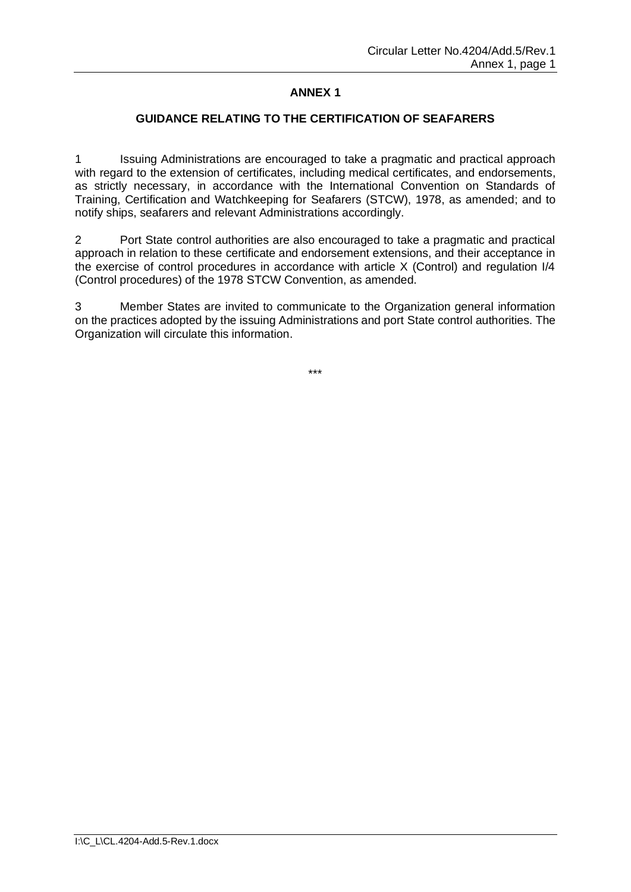# **ANNEX 1**

### **GUIDANCE RELATING TO THE CERTIFICATION OF SEAFARERS**

1 Issuing Administrations are encouraged to take a pragmatic and practical approach with regard to the extension of certificates, including medical certificates, and endorsements, as strictly necessary, in accordance with the International Convention on Standards of Training, Certification and Watchkeeping for Seafarers (STCW), 1978, as amended; and to notify ships, seafarers and relevant Administrations accordingly.

2 Port State control authorities are also encouraged to take a pragmatic and practical approach in relation to these certificate and endorsement extensions, and their acceptance in the exercise of control procedures in accordance with article X (Control) and regulation I/4 (Control procedures) of the 1978 STCW Convention, as amended.

3 Member States are invited to communicate to the Organization general information on the practices adopted by the issuing Administrations and port State control authorities. The Organization will circulate this information.

\*\*\*